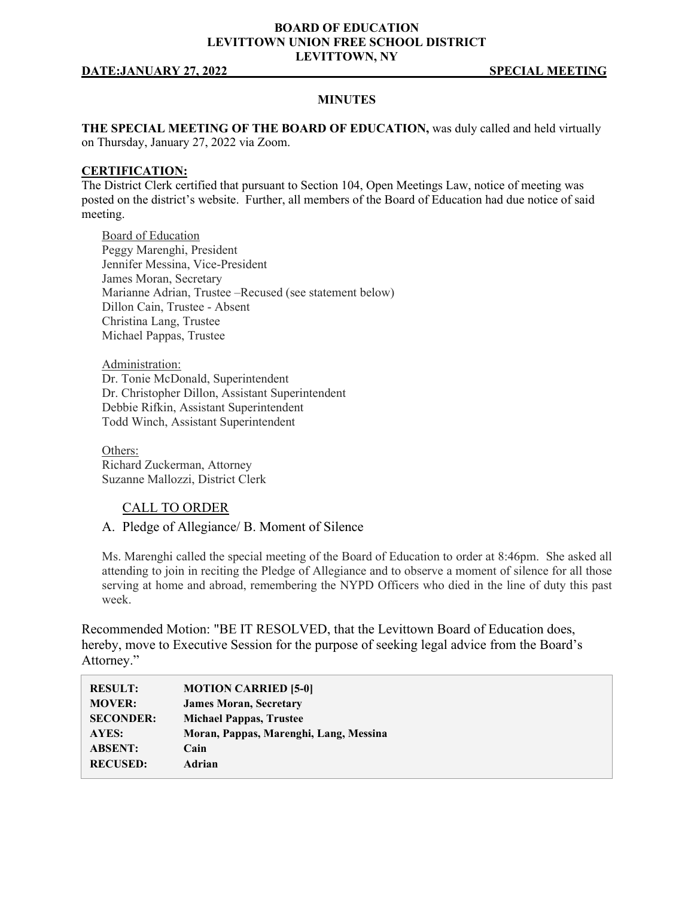## **BOARD OF EDUCATION LEVITTOWN UNION FREE SCHOOL DISTRICT LEVITTOWN, NY**

#### **DATE:JANUARY 27, 2022 SPECIAL MEETING**

## **MINUTES**

**THE SPECIAL MEETING OF THE BOARD OF EDUCATION,** was duly called and held virtually on Thursday, January 27, 2022 via Zoom.

### **CERTIFICATION:**

The District Clerk certified that pursuant to Section 104, Open Meetings Law, notice of meeting was posted on the district's website. Further, all members of the Board of Education had due notice of said meeting.

Board of Education Peggy Marenghi, President Jennifer Messina, Vice-President James Moran, Secretary Marianne Adrian, Trustee –Recused (see statement below) Dillon Cain, Trustee - Absent Christina Lang, Trustee Michael Pappas, Trustee

Administration: Dr. Tonie McDonald, Superintendent Dr. Christopher Dillon, Assistant Superintendent Debbie Rifkin, Assistant Superintendent Todd Winch, Assistant Superintendent

Others: Richard Zuckerman, Attorney Suzanne Mallozzi, District Clerk

### CALL TO ORDER

A. Pledge of Allegiance/ B. Moment of Silence

Ms. Marenghi called the special meeting of the Board of Education to order at 8:46pm. She asked all attending to join in reciting the Pledge of Allegiance and to observe a moment of silence for all those serving at home and abroad, remembering the NYPD Officers who died in the line of duty this past week.

Recommended Motion: "BE IT RESOLVED, that the Levittown Board of Education does, hereby, move to Executive Session for the purpose of seeking legal advice from the Board's Attorney."

| <b>RESULT:</b>   | <b>MOTION CARRIED [5-0]</b>            |
|------------------|----------------------------------------|
| <b>MOVER:</b>    | <b>James Moran, Secretary</b>          |
| <b>SECONDER:</b> | <b>Michael Pappas, Trustee</b>         |
| AYES:            | Moran, Pappas, Marenghi, Lang, Messina |
| <b>ABSENT:</b>   | Cain                                   |
| <b>RECUSED:</b>  | Adrian                                 |